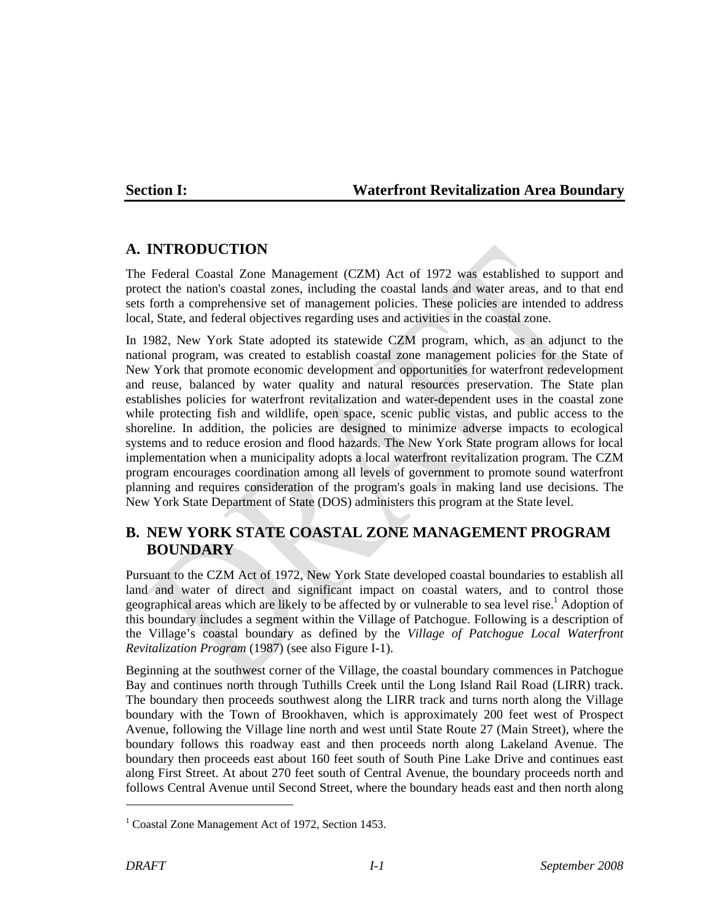#### **Section I: Waterfront Revitalization Area Boundary**

#### **A. INTRODUCTION**

The Federal Coastal Zone Management (CZM) Act of 1972 was established to support and protect the nation's coastal zones, including the coastal lands and water areas, and to that end sets forth a comprehensive set of management policies. These policies are intended to address local, State, and federal objectives regarding uses and activities in the coastal zone.

In 1982, New York State adopted its statewide CZM program, which, as an adjunct to the national program, was created to establish coastal zone management policies for the State of New York that promote economic development and opportunities for waterfront redevelopment and reuse, balanced by water quality and natural resources preservation. The State plan establishes policies for waterfront revitalization and water-dependent uses in the coastal zone while protecting fish and wildlife, open space, scenic public vistas, and public access to the shoreline. In addition, the policies are designed to minimize adverse impacts to ecological systems and to reduce erosion and flood hazards. The New York State program allows for local implementation when a municipality adopts a local waterfront revitalization program. The CZM program encourages coordination among all levels of government to promote sound waterfront planning and requires consideration of the program's goals in making land use decisions. The New York State Department of State (DOS) administers this program at the State level.

## **B. NEW YORK STATE COASTAL ZONE MANAGEMENT PROGRAM BOUNDARY**

Pursuant to the CZM Act of 1972, New York State developed coastal boundaries to establish all land and water of direct and significant impact on coastal waters, and to control those geographical areas which are likely to be affected by or vulnerable to sea level rise.<sup>1</sup> Adoption of this boundary includes a segment within the Village of Patchogue. Following is a description of the Village's coastal boundary as defined by the *Village of Patchogue Local Waterfront Revitalization Program* (1987) (see also Figure I-1).

Beginning at the southwest corner of the Village, the coastal boundary commences in Patchogue Bay and continues north through Tuthills Creek until the Long Island Rail Road (LIRR) track. The boundary then proceeds southwest along the LIRR track and turns north along the Village boundary with the Town of Brookhaven, which is approximately 200 feet west of Prospect Avenue, following the Village line north and west until State Route 27 (Main Street), where the boundary follows this roadway east and then proceeds north along Lakeland Avenue. The boundary then proceeds east about 160 feet south of South Pine Lake Drive and continues east along First Street. At about 270 feet south of Central Avenue, the boundary proceeds north and follows Central Avenue until Second Street, where the boundary heads east and then north along

l

<sup>&</sup>lt;sup>1</sup> Coastal Zone Management Act of 1972, Section 1453.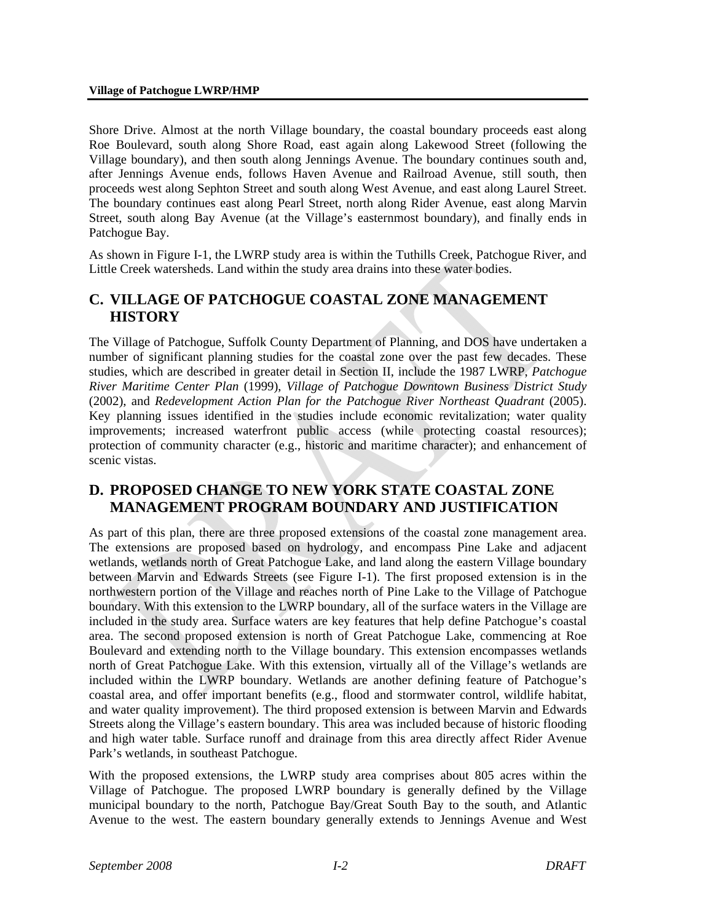Shore Drive. Almost at the north Village boundary, the coastal boundary proceeds east along Roe Boulevard, south along Shore Road, east again along Lakewood Street (following the Village boundary), and then south along Jennings Avenue. The boundary continues south and, after Jennings Avenue ends, follows Haven Avenue and Railroad Avenue, still south, then proceeds west along Sephton Street and south along West Avenue, and east along Laurel Street. The boundary continues east along Pearl Street, north along Rider Avenue, east along Marvin Street, south along Bay Avenue (at the Village's easternmost boundary), and finally ends in Patchogue Bay.

As shown in Figure I-1, the LWRP study area is within the Tuthills Creek, Patchogue River, and Little Creek watersheds. Land within the study area drains into these water bodies.

## **C. VILLAGE OF PATCHOGUE COASTAL ZONE MANAGEMENT HISTORY**

The Village of Patchogue, Suffolk County Department of Planning, and DOS have undertaken a number of significant planning studies for the coastal zone over the past few decades. These studies, which are described in greater detail in Section II, include the 1987 LWRP, *Patchogue River Maritime Center Plan* (1999), *Village of Patchogue Downtown Business District Study* (2002), and *Redevelopment Action Plan for the Patchogue River Northeast Quadrant* (2005). Key planning issues identified in the studies include economic revitalization; water quality improvements; increased waterfront public access (while protecting coastal resources); protection of community character (e.g., historic and maritime character); and enhancement of scenic vistas.

### **D. PROPOSED CHANGE TO NEW YORK STATE COASTAL ZONE MANAGEMENT PROGRAM BOUNDARY AND JUSTIFICATION**

As part of this plan, there are three proposed extensions of the coastal zone management area. The extensions are proposed based on hydrology, and encompass Pine Lake and adjacent wetlands, wetlands north of Great Patchogue Lake, and land along the eastern Village boundary between Marvin and Edwards Streets (see Figure I-1). The first proposed extension is in the northwestern portion of the Village and reaches north of Pine Lake to the Village of Patchogue boundary. With this extension to the LWRP boundary, all of the surface waters in the Village are included in the study area. Surface waters are key features that help define Patchogue's coastal area. The second proposed extension is north of Great Patchogue Lake, commencing at Roe Boulevard and extending north to the Village boundary. This extension encompasses wetlands north of Great Patchogue Lake. With this extension, virtually all of the Village's wetlands are included within the LWRP boundary. Wetlands are another defining feature of Patchogue's coastal area, and offer important benefits (e.g., flood and stormwater control, wildlife habitat, and water quality improvement). The third proposed extension is between Marvin and Edwards Streets along the Village's eastern boundary. This area was included because of historic flooding and high water table. Surface runoff and drainage from this area directly affect Rider Avenue Park's wetlands, in southeast Patchogue.

With the proposed extensions, the LWRP study area comprises about 805 acres within the Village of Patchogue. The proposed LWRP boundary is generally defined by the Village municipal boundary to the north, Patchogue Bay/Great South Bay to the south, and Atlantic Avenue to the west. The eastern boundary generally extends to Jennings Avenue and West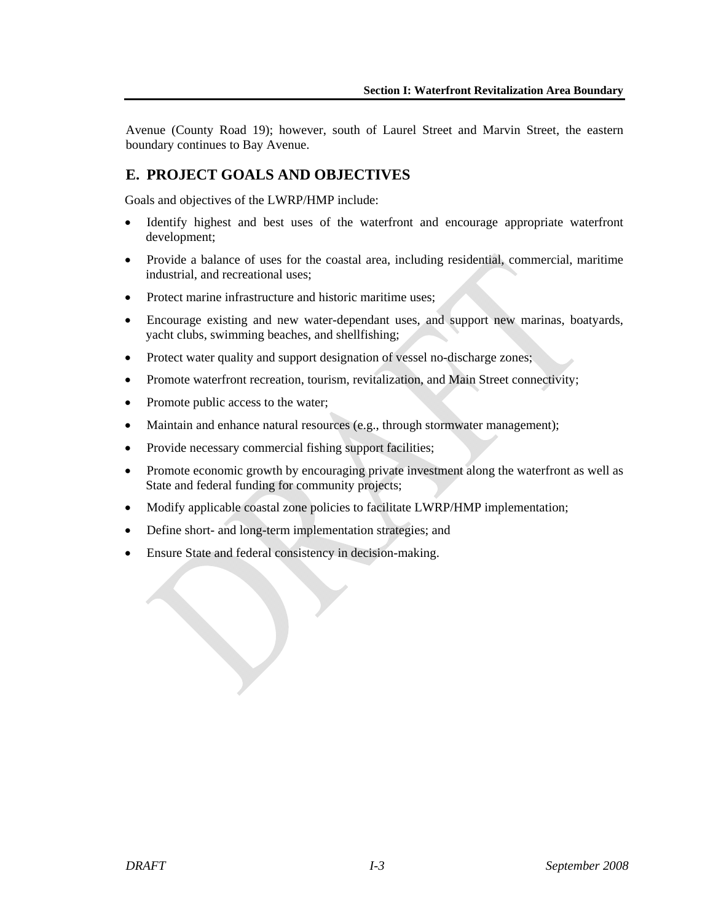Avenue (County Road 19); however, south of Laurel Street and Marvin Street, the eastern boundary continues to Bay Avenue.

# **E. PROJECT GOALS AND OBJECTIVES**

Goals and objectives of the LWRP/HMP include:

- Identify highest and best uses of the waterfront and encourage appropriate waterfront development;
- Provide a balance of uses for the coastal area, including residential, commercial, maritime industrial, and recreational uses;
- Protect marine infrastructure and historic maritime uses;
- Encourage existing and new water-dependant uses, and support new marinas, boatyards, yacht clubs, swimming beaches, and shellfishing;
- Protect water quality and support designation of vessel no-discharge zones;
- Promote waterfront recreation, tourism, revitalization, and Main Street connectivity;
- Promote public access to the water;
- Maintain and enhance natural resources (e.g., through stormwater management);
- Provide necessary commercial fishing support facilities;
- Promote economic growth by encouraging private investment along the waterfront as well as State and federal funding for community projects;
- Modify applicable coastal zone policies to facilitate LWRP/HMP implementation;
- Define short- and long-term implementation strategies; and
- Ensure State and federal consistency in decision-making.